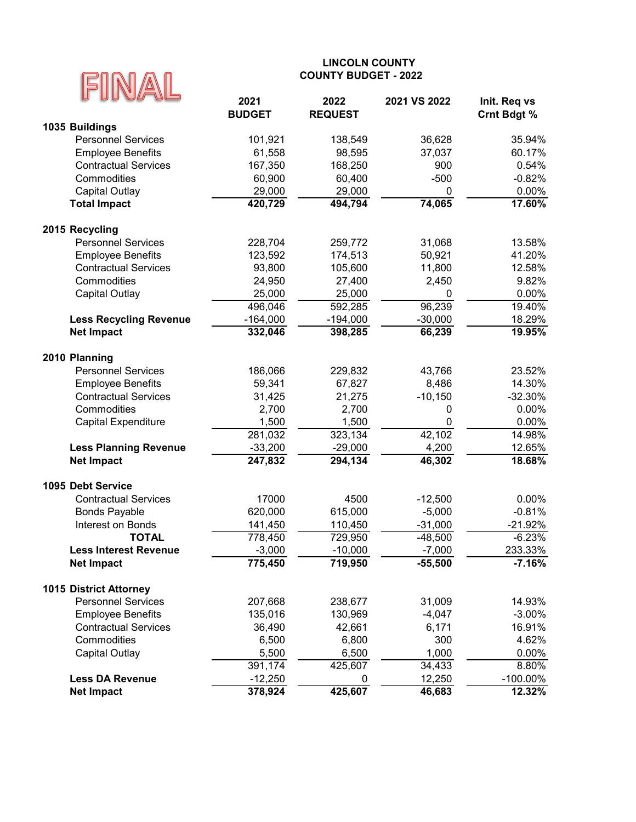

| UU                            | 2021          | 2022           | 2021 VS 2022 | Init. Req vs |
|-------------------------------|---------------|----------------|--------------|--------------|
|                               | <b>BUDGET</b> | <b>REQUEST</b> |              | Crnt Bdgt %  |
| 1035 Buildings                |               |                |              |              |
| <b>Personnel Services</b>     | 101,921       | 138,549        | 36,628       | 35.94%       |
| <b>Employee Benefits</b>      | 61,558        | 98,595         | 37,037       | 60.17%       |
| <b>Contractual Services</b>   | 167,350       | 168,250        | 900          | 0.54%        |
| Commodities                   | 60,900        | 60,400         | $-500$       | $-0.82%$     |
| <b>Capital Outlay</b>         | 29,000        | 29,000         | 0            | 0.00%        |
| <b>Total Impact</b>           | 420,729       | 494,794        | 74,065       | 17.60%       |
| 2015 Recycling                |               |                |              |              |
| <b>Personnel Services</b>     | 228,704       | 259,772        | 31,068       | 13.58%       |
| <b>Employee Benefits</b>      | 123,592       | 174,513        | 50,921       | 41.20%       |
| <b>Contractual Services</b>   | 93,800        | 105,600        | 11,800       | 12.58%       |
| Commodities                   | 24,950        | 27,400         | 2,450        | 9.82%        |
| <b>Capital Outlay</b>         | 25,000        | 25,000         | 0            | $0.00\%$     |
|                               | 496,046       | 592,285        | 96,239       | 19.40%       |
| <b>Less Recycling Revenue</b> | $-164,000$    | $-194,000$     | $-30,000$    | 18.29%       |
| <b>Net Impact</b>             | 332,046       | 398,285        | 66,239       | 19.95%       |
| 2010 Planning                 |               |                |              |              |
| <b>Personnel Services</b>     | 186,066       | 229,832        | 43,766       | 23.52%       |
| <b>Employee Benefits</b>      | 59,341        | 67,827         | 8,486        | 14.30%       |
| <b>Contractual Services</b>   | 31,425        | 21,275         | $-10,150$    | $-32.30%$    |
| Commodities                   | 2,700         | 2,700          | 0            | 0.00%        |
| <b>Capital Expenditure</b>    | 1,500         | 1,500          | 0            | 0.00%        |
|                               | 281,032       | 323,134        | 42,102       | 14.98%       |
| <b>Less Planning Revenue</b>  | $-33,200$     | $-29,000$      | 4,200        | 12.65%       |
| <b>Net Impact</b>             | 247,832       | 294,134        | 46,302       | 18.68%       |
|                               |               |                |              |              |
| 1095 Debt Service             |               |                |              |              |
| <b>Contractual Services</b>   | 17000         | 4500           | $-12,500$    | 0.00%        |
| <b>Bonds Payable</b>          | 620,000       | 615,000        | $-5,000$     | $-0.81%$     |
| Interest on Bonds             | 141,450       | 110,450        | $-31,000$    | $-21.92%$    |
| <b>TOTAL</b>                  | 778,450       | 729,950        | $-48,500$    | $-6.23%$     |
| <b>Less Interest Revenue</b>  | $-3,000$      | $-10,000$      | $-7,000$     | 233.33%      |
| <b>Net Impact</b>             | 775,450       | 719,950        | $-55,500$    | $-7.16%$     |
| <b>1015 District Attorney</b> |               |                |              |              |
| <b>Personnel Services</b>     | 207,668       | 238,677        | 31,009       | 14.93%       |
| <b>Employee Benefits</b>      | 135,016       | 130,969        | $-4,047$     | $-3.00%$     |
| <b>Contractual Services</b>   | 36,490        | 42,661         | 6,171        | 16.91%       |
| Commodities                   | 6,500         | 6,800          | 300          | 4.62%        |
| Capital Outlay                | 5,500         | 6,500          | 1,000        | 0.00%        |
|                               | 391,174       | 425,607        | 34,433       | 8.80%        |
| <b>Less DA Revenue</b>        | $-12,250$     | 0              | 12,250       | $-100.00\%$  |
| <b>Net Impact</b>             | 378,924       | 425,607        | 46,683       | 12.32%       |
|                               |               |                |              |              |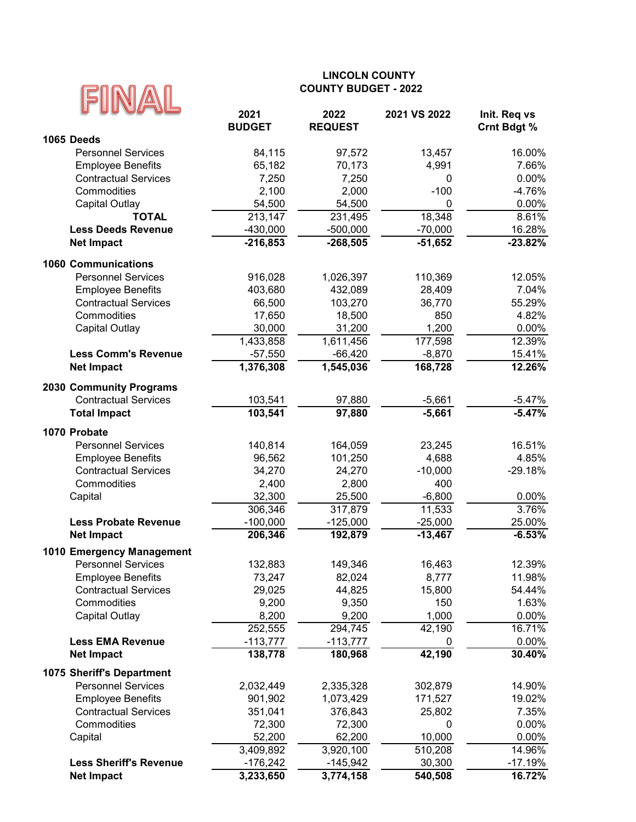|                                                         | <b>COUNTY BUDGET - 2022</b> |                      |                   |                    |
|---------------------------------------------------------|-----------------------------|----------------------|-------------------|--------------------|
|                                                         |                             |                      |                   |                    |
|                                                         | 2021                        | 2022                 | 2021 VS 2022      | Init. Req vs       |
| 1065 Deeds                                              | <b>BUDGET</b>               | <b>REQUEST</b>       |                   | <b>Crnt Bdgt %</b> |
| <b>Personnel Services</b>                               | 84,115                      | 97,572               | 13,457            | 16.00%             |
| <b>Employee Benefits</b>                                | 65,182                      | 70,173               | 4,991             | 7.66%              |
| <b>Contractual Services</b>                             | 7,250                       | 7,250                | 0                 | 0.00%              |
| Commodities                                             | 2,100                       | 2,000                | $-100$            | $-4.76%$           |
| <b>Capital Outlay</b>                                   | 54,500                      | 54,500               | $\mathbf 0$       | 0.00%              |
| <b>TOTAL</b>                                            | 213,147                     | 231,495              | 18,348            | 8.61%              |
| <b>Less Deeds Revenue</b>                               | $-430,000$                  | $-500,000$           | $-70,000$         | 16.28%             |
| <b>Net Impact</b>                                       | $-216,853$                  | $-268,505$           | $-51,652$         | $-23.82%$          |
|                                                         |                             |                      |                   |                    |
| <b>1060 Communications</b><br><b>Personnel Services</b> |                             |                      |                   |                    |
| <b>Employee Benefits</b>                                | 916,028<br>403,680          | 1,026,397<br>432,089 | 110,369<br>28,409 | 12.05%<br>7.04%    |
| <b>Contractual Services</b>                             | 66,500                      | 103,270              | 36,770            | 55.29%             |
| Commodities                                             | 17,650                      | 18,500               | 850               | 4.82%              |
| <b>Capital Outlay</b>                                   | 30,000                      | 31,200               | 1,200             | 0.00%              |
|                                                         | 1,433,858                   | 1,611,456            | 177,598           | 12.39%             |
| <b>Less Comm's Revenue</b>                              | $-57,550$                   | $-66,420$            | $-8,870$          | 15.41%             |
| <b>Net Impact</b>                                       | 1,376,308                   | 1,545,036            | 168,728           | 12.26%             |
|                                                         |                             |                      |                   |                    |
| <b>2030 Community Programs</b>                          |                             |                      |                   |                    |
| <b>Contractual Services</b>                             | 103,541                     | 97,880               | $-5,661$          | $-5.47%$           |
| <b>Total Impact</b>                                     | 103,541                     | 97,880               | $-5,661$          | $-5.47%$           |
| 1070 Probate                                            |                             |                      |                   |                    |
| <b>Personnel Services</b>                               | 140,814                     | 164,059              | 23,245            | 16.51%             |
| <b>Employee Benefits</b>                                | 96,562                      | 101,250              | 4,688             | 4.85%              |
| <b>Contractual Services</b>                             | 34,270                      | 24,270               | $-10,000$         | $-29.18%$          |
| Commodities                                             | 2,400                       | 2,800                | 400               |                    |
| Capital                                                 | 32,300                      | 25,500               | $-6,800$          | 0.00%              |
|                                                         | 306,346                     | 317,879              | 11,533            | 3.76%              |
| <b>Less Probate Revenue</b>                             | $-100,000$                  | $-125,000$           | $-25,000$         | 25.00%             |
| <b>Net Impact</b>                                       | 206,346                     | 192,879              | $-13,467$         | $-6.53%$           |
| 1010 Emergency Management                               |                             |                      |                   |                    |
| <b>Personnel Services</b>                               | 132,883                     | 149,346              | 16,463            | 12.39%             |
| <b>Employee Benefits</b>                                | 73,247                      | 82,024               | 8,777             | 11.98%             |
| <b>Contractual Services</b>                             | 29,025                      | 44,825               | 15,800            | 54.44%             |
| Commodities                                             | 9,200                       | 9,350                | 150               | 1.63%              |
| Capital Outlay                                          | 8,200                       | 9,200                | 1,000             | $0.00\%$           |
|                                                         | 252,555                     | 294,745              | 42,190            | 16.71%             |
| <b>Less EMA Revenue</b>                                 | $-113,777$                  | $-113,777$           | 0                 | 0.00%              |
| <b>Net Impact</b>                                       | 138,778                     | 180,968              | 42,190            | 30.40%             |
| 1075 Sheriff's Department                               |                             |                      |                   |                    |
| <b>Personnel Services</b>                               | 2,032,449                   | 2,335,328            | 302,879           | 14.90%             |
| <b>Employee Benefits</b>                                | 901,902                     | 1,073,429            | 171,527           | 19.02%             |
| <b>Contractual Services</b>                             | 351,041                     | 376,843              | 25,802            | 7.35%              |
| Commodities                                             | 72,300                      | 72,300               | 0                 | 0.00%              |
| Capital                                                 | 52,200                      | 62,200               | 10,000            | 0.00%              |
|                                                         | 3,409,892                   | 3,920,100            | 510,208           | 14.96%             |
| <b>Less Sheriff's Revenue</b>                           | $-176,242$                  | $-145,942$           | 30,300            | $-17.19%$          |
| <b>Net Impact</b>                                       | 3,233,650                   | 3,774,158            | 540,508           | 16.72%             |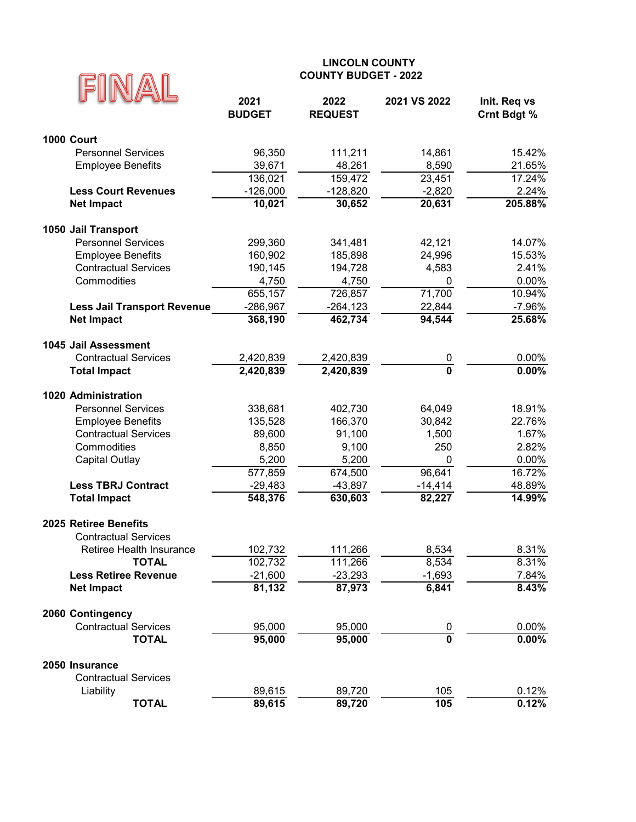| 2021<br>2022<br>2021 VS 2022<br>Init. Req vs<br><b>BUDGET</b><br><b>REQUEST</b><br><b>Crnt Bdgt %</b><br><b>1000 Court</b><br><b>Personnel Services</b><br>96,350<br>15.42%<br>111,211<br>14,861<br>21.65%<br><b>Employee Benefits</b><br>39,671<br>48,261<br>8,590<br>136,021<br>159,472<br>23,451<br>17.24%<br><b>Less Court Revenues</b><br>$-126,000$<br>2.24%<br>$-128,820$<br>$-2,820$<br>10,021<br>205.88%<br>30,652<br>20,631<br><b>Net Impact</b><br>1050 Jail Transport<br><b>Personnel Services</b><br>299,360<br>42,121<br>14.07%<br>341,481<br>160,902<br><b>Employee Benefits</b><br>185,898<br>24,996<br>15.53%<br><b>Contractual Services</b><br>190,145<br>194,728<br>4,583<br>2.41%<br>Commodities<br>4,750<br>4,750<br>0.00%<br>0<br>655,157<br>726,857<br>71,700<br>10.94%<br>$-286,967$<br>$-264, 123$<br>22,844<br>$-7.96%$<br><b>Less Jail Transport Revenue</b><br>368,190<br>462,734<br>94,544<br><b>Net Impact</b><br>25.68%<br>1045 Jail Assessment<br>0.00%<br><b>Contractual Services</b><br>2,420,839<br>2,420,839<br>0<br>$\overline{\mathbf{0}}$<br>0.00%<br>2,420,839<br><b>Total Impact</b><br>2,420,839<br>1020 Administration<br><b>Personnel Services</b><br>18.91%<br>338,681<br>402,730<br>64,049<br><b>Employee Benefits</b><br>135,528<br>166,370<br>30,842<br>22.76%<br><b>Contractual Services</b><br>89,600<br>91,100<br>1,500<br>1.67%<br>Commodities<br>8,850<br>9,100<br>250<br>2.82%<br>5,200<br>5,200<br>0.00%<br><b>Capital Outlay</b><br>0<br>96,641<br>16.72%<br>577,859<br>674,500<br>48.89%<br><b>Less TBRJ Contract</b><br>$-29,483$<br>$-43,897$<br>$-14,414$<br>548,376<br>630,603<br>82,227<br>14.99%<br><b>Total Impact</b><br>2025 Retiree Benefits<br><b>Contractual Services</b><br>8,534<br>8.31%<br>Retiree Health Insurance<br>102,732<br>111,266<br>102,732<br>8.31%<br><b>TOTAL</b><br>111,266<br>8,534<br>$-21,600$<br>$-23,293$<br>$-1,693$<br>7.84%<br><b>Less Retiree Revenue</b><br>81,132<br>87,973<br>6,841<br>8.43%<br><b>Net Impact</b><br>2060 Contingency<br><b>Contractual Services</b><br>95,000<br>95,000<br>0.00%<br>$\frac{0}{\mathbf{0}}$<br>95,000<br>0.00%<br><b>TOTAL</b><br>95,000<br>2050 Insurance<br><b>Contractual Services</b><br>0.12%<br>Liability<br>89,615<br>105<br>89,720 |              | <b>COUNTY BUDGET - 2022</b> |        |     |       |
|------------------------------------------------------------------------------------------------------------------------------------------------------------------------------------------------------------------------------------------------------------------------------------------------------------------------------------------------------------------------------------------------------------------------------------------------------------------------------------------------------------------------------------------------------------------------------------------------------------------------------------------------------------------------------------------------------------------------------------------------------------------------------------------------------------------------------------------------------------------------------------------------------------------------------------------------------------------------------------------------------------------------------------------------------------------------------------------------------------------------------------------------------------------------------------------------------------------------------------------------------------------------------------------------------------------------------------------------------------------------------------------------------------------------------------------------------------------------------------------------------------------------------------------------------------------------------------------------------------------------------------------------------------------------------------------------------------------------------------------------------------------------------------------------------------------------------------------------------------------------------------------------------------------------------------------------------------------------------------------------------------------------------------------------------------------------------------------------------------------------------------------------------------------------------------------------------------------------------------------------------------------------------|--------------|-----------------------------|--------|-----|-------|
|                                                                                                                                                                                                                                                                                                                                                                                                                                                                                                                                                                                                                                                                                                                                                                                                                                                                                                                                                                                                                                                                                                                                                                                                                                                                                                                                                                                                                                                                                                                                                                                                                                                                                                                                                                                                                                                                                                                                                                                                                                                                                                                                                                                                                                                                              |              |                             |        |     |       |
|                                                                                                                                                                                                                                                                                                                                                                                                                                                                                                                                                                                                                                                                                                                                                                                                                                                                                                                                                                                                                                                                                                                                                                                                                                                                                                                                                                                                                                                                                                                                                                                                                                                                                                                                                                                                                                                                                                                                                                                                                                                                                                                                                                                                                                                                              |              |                             |        |     |       |
|                                                                                                                                                                                                                                                                                                                                                                                                                                                                                                                                                                                                                                                                                                                                                                                                                                                                                                                                                                                                                                                                                                                                                                                                                                                                                                                                                                                                                                                                                                                                                                                                                                                                                                                                                                                                                                                                                                                                                                                                                                                                                                                                                                                                                                                                              |              |                             |        |     |       |
|                                                                                                                                                                                                                                                                                                                                                                                                                                                                                                                                                                                                                                                                                                                                                                                                                                                                                                                                                                                                                                                                                                                                                                                                                                                                                                                                                                                                                                                                                                                                                                                                                                                                                                                                                                                                                                                                                                                                                                                                                                                                                                                                                                                                                                                                              |              |                             |        |     |       |
|                                                                                                                                                                                                                                                                                                                                                                                                                                                                                                                                                                                                                                                                                                                                                                                                                                                                                                                                                                                                                                                                                                                                                                                                                                                                                                                                                                                                                                                                                                                                                                                                                                                                                                                                                                                                                                                                                                                                                                                                                                                                                                                                                                                                                                                                              |              |                             |        |     |       |
|                                                                                                                                                                                                                                                                                                                                                                                                                                                                                                                                                                                                                                                                                                                                                                                                                                                                                                                                                                                                                                                                                                                                                                                                                                                                                                                                                                                                                                                                                                                                                                                                                                                                                                                                                                                                                                                                                                                                                                                                                                                                                                                                                                                                                                                                              |              |                             |        |     |       |
|                                                                                                                                                                                                                                                                                                                                                                                                                                                                                                                                                                                                                                                                                                                                                                                                                                                                                                                                                                                                                                                                                                                                                                                                                                                                                                                                                                                                                                                                                                                                                                                                                                                                                                                                                                                                                                                                                                                                                                                                                                                                                                                                                                                                                                                                              |              |                             |        |     |       |
|                                                                                                                                                                                                                                                                                                                                                                                                                                                                                                                                                                                                                                                                                                                                                                                                                                                                                                                                                                                                                                                                                                                                                                                                                                                                                                                                                                                                                                                                                                                                                                                                                                                                                                                                                                                                                                                                                                                                                                                                                                                                                                                                                                                                                                                                              |              |                             |        |     |       |
|                                                                                                                                                                                                                                                                                                                                                                                                                                                                                                                                                                                                                                                                                                                                                                                                                                                                                                                                                                                                                                                                                                                                                                                                                                                                                                                                                                                                                                                                                                                                                                                                                                                                                                                                                                                                                                                                                                                                                                                                                                                                                                                                                                                                                                                                              |              |                             |        |     |       |
|                                                                                                                                                                                                                                                                                                                                                                                                                                                                                                                                                                                                                                                                                                                                                                                                                                                                                                                                                                                                                                                                                                                                                                                                                                                                                                                                                                                                                                                                                                                                                                                                                                                                                                                                                                                                                                                                                                                                                                                                                                                                                                                                                                                                                                                                              |              |                             |        |     |       |
|                                                                                                                                                                                                                                                                                                                                                                                                                                                                                                                                                                                                                                                                                                                                                                                                                                                                                                                                                                                                                                                                                                                                                                                                                                                                                                                                                                                                                                                                                                                                                                                                                                                                                                                                                                                                                                                                                                                                                                                                                                                                                                                                                                                                                                                                              |              |                             |        |     |       |
|                                                                                                                                                                                                                                                                                                                                                                                                                                                                                                                                                                                                                                                                                                                                                                                                                                                                                                                                                                                                                                                                                                                                                                                                                                                                                                                                                                                                                                                                                                                                                                                                                                                                                                                                                                                                                                                                                                                                                                                                                                                                                                                                                                                                                                                                              |              |                             |        |     |       |
|                                                                                                                                                                                                                                                                                                                                                                                                                                                                                                                                                                                                                                                                                                                                                                                                                                                                                                                                                                                                                                                                                                                                                                                                                                                                                                                                                                                                                                                                                                                                                                                                                                                                                                                                                                                                                                                                                                                                                                                                                                                                                                                                                                                                                                                                              |              |                             |        |     |       |
|                                                                                                                                                                                                                                                                                                                                                                                                                                                                                                                                                                                                                                                                                                                                                                                                                                                                                                                                                                                                                                                                                                                                                                                                                                                                                                                                                                                                                                                                                                                                                                                                                                                                                                                                                                                                                                                                                                                                                                                                                                                                                                                                                                                                                                                                              |              |                             |        |     |       |
|                                                                                                                                                                                                                                                                                                                                                                                                                                                                                                                                                                                                                                                                                                                                                                                                                                                                                                                                                                                                                                                                                                                                                                                                                                                                                                                                                                                                                                                                                                                                                                                                                                                                                                                                                                                                                                                                                                                                                                                                                                                                                                                                                                                                                                                                              |              |                             |        |     |       |
|                                                                                                                                                                                                                                                                                                                                                                                                                                                                                                                                                                                                                                                                                                                                                                                                                                                                                                                                                                                                                                                                                                                                                                                                                                                                                                                                                                                                                                                                                                                                                                                                                                                                                                                                                                                                                                                                                                                                                                                                                                                                                                                                                                                                                                                                              |              |                             |        |     |       |
|                                                                                                                                                                                                                                                                                                                                                                                                                                                                                                                                                                                                                                                                                                                                                                                                                                                                                                                                                                                                                                                                                                                                                                                                                                                                                                                                                                                                                                                                                                                                                                                                                                                                                                                                                                                                                                                                                                                                                                                                                                                                                                                                                                                                                                                                              |              |                             |        |     |       |
|                                                                                                                                                                                                                                                                                                                                                                                                                                                                                                                                                                                                                                                                                                                                                                                                                                                                                                                                                                                                                                                                                                                                                                                                                                                                                                                                                                                                                                                                                                                                                                                                                                                                                                                                                                                                                                                                                                                                                                                                                                                                                                                                                                                                                                                                              |              |                             |        |     |       |
|                                                                                                                                                                                                                                                                                                                                                                                                                                                                                                                                                                                                                                                                                                                                                                                                                                                                                                                                                                                                                                                                                                                                                                                                                                                                                                                                                                                                                                                                                                                                                                                                                                                                                                                                                                                                                                                                                                                                                                                                                                                                                                                                                                                                                                                                              |              |                             |        |     |       |
|                                                                                                                                                                                                                                                                                                                                                                                                                                                                                                                                                                                                                                                                                                                                                                                                                                                                                                                                                                                                                                                                                                                                                                                                                                                                                                                                                                                                                                                                                                                                                                                                                                                                                                                                                                                                                                                                                                                                                                                                                                                                                                                                                                                                                                                                              |              |                             |        |     |       |
|                                                                                                                                                                                                                                                                                                                                                                                                                                                                                                                                                                                                                                                                                                                                                                                                                                                                                                                                                                                                                                                                                                                                                                                                                                                                                                                                                                                                                                                                                                                                                                                                                                                                                                                                                                                                                                                                                                                                                                                                                                                                                                                                                                                                                                                                              |              |                             |        |     |       |
|                                                                                                                                                                                                                                                                                                                                                                                                                                                                                                                                                                                                                                                                                                                                                                                                                                                                                                                                                                                                                                                                                                                                                                                                                                                                                                                                                                                                                                                                                                                                                                                                                                                                                                                                                                                                                                                                                                                                                                                                                                                                                                                                                                                                                                                                              |              |                             |        |     |       |
|                                                                                                                                                                                                                                                                                                                                                                                                                                                                                                                                                                                                                                                                                                                                                                                                                                                                                                                                                                                                                                                                                                                                                                                                                                                                                                                                                                                                                                                                                                                                                                                                                                                                                                                                                                                                                                                                                                                                                                                                                                                                                                                                                                                                                                                                              |              |                             |        |     |       |
|                                                                                                                                                                                                                                                                                                                                                                                                                                                                                                                                                                                                                                                                                                                                                                                                                                                                                                                                                                                                                                                                                                                                                                                                                                                                                                                                                                                                                                                                                                                                                                                                                                                                                                                                                                                                                                                                                                                                                                                                                                                                                                                                                                                                                                                                              |              |                             |        |     |       |
|                                                                                                                                                                                                                                                                                                                                                                                                                                                                                                                                                                                                                                                                                                                                                                                                                                                                                                                                                                                                                                                                                                                                                                                                                                                                                                                                                                                                                                                                                                                                                                                                                                                                                                                                                                                                                                                                                                                                                                                                                                                                                                                                                                                                                                                                              |              |                             |        |     |       |
|                                                                                                                                                                                                                                                                                                                                                                                                                                                                                                                                                                                                                                                                                                                                                                                                                                                                                                                                                                                                                                                                                                                                                                                                                                                                                                                                                                                                                                                                                                                                                                                                                                                                                                                                                                                                                                                                                                                                                                                                                                                                                                                                                                                                                                                                              |              |                             |        |     |       |
|                                                                                                                                                                                                                                                                                                                                                                                                                                                                                                                                                                                                                                                                                                                                                                                                                                                                                                                                                                                                                                                                                                                                                                                                                                                                                                                                                                                                                                                                                                                                                                                                                                                                                                                                                                                                                                                                                                                                                                                                                                                                                                                                                                                                                                                                              |              |                             |        |     |       |
|                                                                                                                                                                                                                                                                                                                                                                                                                                                                                                                                                                                                                                                                                                                                                                                                                                                                                                                                                                                                                                                                                                                                                                                                                                                                                                                                                                                                                                                                                                                                                                                                                                                                                                                                                                                                                                                                                                                                                                                                                                                                                                                                                                                                                                                                              |              |                             |        |     |       |
|                                                                                                                                                                                                                                                                                                                                                                                                                                                                                                                                                                                                                                                                                                                                                                                                                                                                                                                                                                                                                                                                                                                                                                                                                                                                                                                                                                                                                                                                                                                                                                                                                                                                                                                                                                                                                                                                                                                                                                                                                                                                                                                                                                                                                                                                              |              |                             |        |     |       |
|                                                                                                                                                                                                                                                                                                                                                                                                                                                                                                                                                                                                                                                                                                                                                                                                                                                                                                                                                                                                                                                                                                                                                                                                                                                                                                                                                                                                                                                                                                                                                                                                                                                                                                                                                                                                                                                                                                                                                                                                                                                                                                                                                                                                                                                                              |              |                             |        |     |       |
|                                                                                                                                                                                                                                                                                                                                                                                                                                                                                                                                                                                                                                                                                                                                                                                                                                                                                                                                                                                                                                                                                                                                                                                                                                                                                                                                                                                                                                                                                                                                                                                                                                                                                                                                                                                                                                                                                                                                                                                                                                                                                                                                                                                                                                                                              |              |                             |        |     |       |
|                                                                                                                                                                                                                                                                                                                                                                                                                                                                                                                                                                                                                                                                                                                                                                                                                                                                                                                                                                                                                                                                                                                                                                                                                                                                                                                                                                                                                                                                                                                                                                                                                                                                                                                                                                                                                                                                                                                                                                                                                                                                                                                                                                                                                                                                              |              |                             |        |     |       |
|                                                                                                                                                                                                                                                                                                                                                                                                                                                                                                                                                                                                                                                                                                                                                                                                                                                                                                                                                                                                                                                                                                                                                                                                                                                                                                                                                                                                                                                                                                                                                                                                                                                                                                                                                                                                                                                                                                                                                                                                                                                                                                                                                                                                                                                                              |              |                             |        |     |       |
|                                                                                                                                                                                                                                                                                                                                                                                                                                                                                                                                                                                                                                                                                                                                                                                                                                                                                                                                                                                                                                                                                                                                                                                                                                                                                                                                                                                                                                                                                                                                                                                                                                                                                                                                                                                                                                                                                                                                                                                                                                                                                                                                                                                                                                                                              |              |                             |        |     |       |
|                                                                                                                                                                                                                                                                                                                                                                                                                                                                                                                                                                                                                                                                                                                                                                                                                                                                                                                                                                                                                                                                                                                                                                                                                                                                                                                                                                                                                                                                                                                                                                                                                                                                                                                                                                                                                                                                                                                                                                                                                                                                                                                                                                                                                                                                              |              |                             |        |     |       |
|                                                                                                                                                                                                                                                                                                                                                                                                                                                                                                                                                                                                                                                                                                                                                                                                                                                                                                                                                                                                                                                                                                                                                                                                                                                                                                                                                                                                                                                                                                                                                                                                                                                                                                                                                                                                                                                                                                                                                                                                                                                                                                                                                                                                                                                                              |              |                             |        |     |       |
|                                                                                                                                                                                                                                                                                                                                                                                                                                                                                                                                                                                                                                                                                                                                                                                                                                                                                                                                                                                                                                                                                                                                                                                                                                                                                                                                                                                                                                                                                                                                                                                                                                                                                                                                                                                                                                                                                                                                                                                                                                                                                                                                                                                                                                                                              |              |                             |        |     |       |
|                                                                                                                                                                                                                                                                                                                                                                                                                                                                                                                                                                                                                                                                                                                                                                                                                                                                                                                                                                                                                                                                                                                                                                                                                                                                                                                                                                                                                                                                                                                                                                                                                                                                                                                                                                                                                                                                                                                                                                                                                                                                                                                                                                                                                                                                              |              |                             |        |     |       |
|                                                                                                                                                                                                                                                                                                                                                                                                                                                                                                                                                                                                                                                                                                                                                                                                                                                                                                                                                                                                                                                                                                                                                                                                                                                                                                                                                                                                                                                                                                                                                                                                                                                                                                                                                                                                                                                                                                                                                                                                                                                                                                                                                                                                                                                                              |              |                             |        |     |       |
|                                                                                                                                                                                                                                                                                                                                                                                                                                                                                                                                                                                                                                                                                                                                                                                                                                                                                                                                                                                                                                                                                                                                                                                                                                                                                                                                                                                                                                                                                                                                                                                                                                                                                                                                                                                                                                                                                                                                                                                                                                                                                                                                                                                                                                                                              |              |                             |        |     |       |
|                                                                                                                                                                                                                                                                                                                                                                                                                                                                                                                                                                                                                                                                                                                                                                                                                                                                                                                                                                                                                                                                                                                                                                                                                                                                                                                                                                                                                                                                                                                                                                                                                                                                                                                                                                                                                                                                                                                                                                                                                                                                                                                                                                                                                                                                              | <b>TOTAL</b> | 89,615                      | 89,720 | 105 | 0.12% |